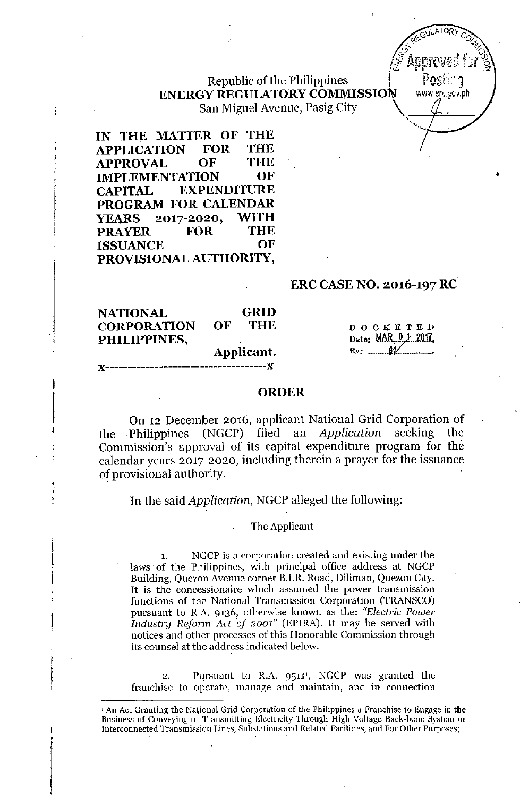Republic of the Philippines ENERGY REGULATORY COMMISSION www.er.gov.ph San Miguel Avenue, Pasig City \ .



•

IN THE MATTER OF THE APPLICATION FOR THE APPROVAL OF THE IMPLEMENTATION OF CAPITAL EXPENDITURE PROGRAM FOR CALENDAR YEARS 2017-2020, WITH PRAYER FOR THE ISSUANCE OF PROVISIONAL AUTHORITY,

## ERC CASENO, 2016-197 RC

| <b>NATIONAL</b>    |            | <b>GRID</b> |
|--------------------|------------|-------------|
| <b>CORPORATION</b> | OF.        | <b>THE</b>  |
| PHILIPPINES,       |            |             |
|                    | Applicant. |             |

**J(------------------------------------)(**

j

 $\overline{\phantom{a}}$ ,<br>∮

**DOCKETED** Date: MAR 0 1 2017, 

### ORDER

On 12 December 2016, applicant National Grid Corporation of the Philippines (NGCP) filed au *Application* seeking the Commission's approval of its capital expenditure program for the calendar years 2017-2020, including therein a prayer for the issuance of provisional authority.

In the said *Application,* NGCP alleged the following:

#### The Applicant

NGCP is a corporation created and existing under the laws of the Philippines, with principal office address at NGCP Building, Quezon Avenue corner B.I.R. Road, Diliman, Quezon City. It is the concessionaire which assumed the power transmission functions of the National Transmission Corporation (TRANSCO) pursuant to R.A. 9136, otherwise known as the: *"Electric Power Industry Reform Act of 2001"* (EPIRA). It may be served with notices and other processes of this Honorable Commission through its counsel at the address indicated below.

2. Pursuant to R.A. 9511<sup>1</sup>, NGCP was granted the franchise to operate, manage and maintain, and in connection

<sup>1</sup> An Act Granting the Na1ional Grid Corporation of the Philippines a Pranchise to Engage in the Business of Conveying or Transmitting Electricity Through High Voltage Back-bone System or Interconnected Transmission Lines, Substations and Related Facilities, and For Other Purposes;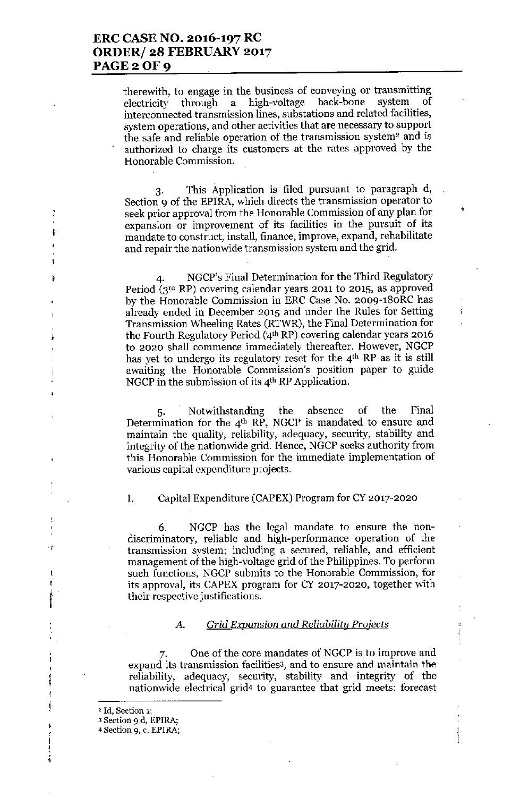therewith, to engage in the business of conveying or transmitting electricity through a high-voltage back-bone system of interconnected transmission lines, substations and related facilities, system operations, and other activities that are necessary to support the safe and reliable operation of the transmission system<sup>2</sup> and is authorized to charge its customers at the rates approved by the Honorable Commission.

3. This Application is filed pursuant to paragraph d, Section 9 of the EPlRA, which directs the transmission operator to seek prior approval from the Honorable Commission of any plan for expansion or improvement of its facilities in the pursuit of its mandate to construct, install, finance, improve, expand, rehabilitate and repair the nationwide transmission system and the grid.

4. NGCP's Final Determination for the Third Regulatory Period (3rd RP) covering calendar years 2011 to 2015, as approved by the Honorable Commission in ERC Case No. 2009-180RC has already ended in December 2015 and under the Rules for Setting Transmission Wheeling Rates (RTWR), the Final Determination for the Fourth Regulatory Period (4'h RP) covering calendar years 2016 to 2020 shall commence immediately thereafter. However, NGCP has yet to undergo its regulatory reset for the 4<sup>th</sup> RP as it is still awaiting the Honorable Commission's position paper to guide NGCP in the submission of its 4th RP Application.

5. Notwithstanding the absence of the Final Determination for the 4<sup>th</sup> RP, NGCP is mandated to ensure and maintain the quality, reliability, adequacy, security, stability and integrity of the nationwide grid. Hence, NGCP seeks authority from this Honorable Commission for the immediate implementation of various capital expenditure projects.

I

ŧ

 $\ddagger$ ħ

.,

Ţ

 $\mathbf{r}$ !

j<br>|<br>|

 $\frac{1}{2}$ 

ţ

ļ

### I. Capital Expenditure (CAPEX) Program for CY 2017-2020

6. NGCP has the legal mandate to ensure the nondiscriminatory, reliable and high-performance operation of the transmission system; including a secured, reliable, and efficient management of the high-voltage grid of the Philippines. To perform such functions, NGCP submits to the Honorable Commission, for its approval, its CAPEX program for CY 2017-2020, together with their respective justifications.

### *A. Grid Expansion and Reliability Projects*

One of the core mandates of NGCP is to improve and expand its transmission facilities3, and to ensure and maintain the reliability, adequacy, security, stability and integrity of the nationwide electrical grid4 to guarantee that grid meets: forecast

<sup>&#</sup>x27;2 Id, Section 1;

<sup>3</sup> Section 9 d, EPIRA;

<sup>4</sup> Section 9, c, EPIRA;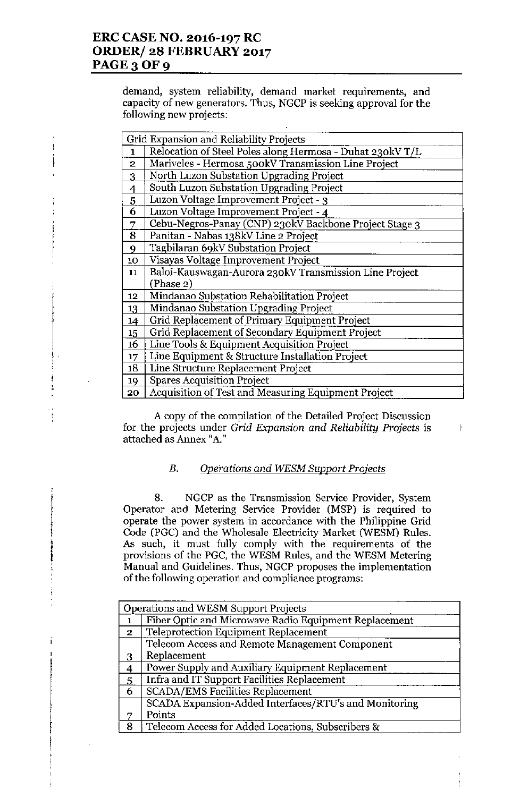$\frac{1}{1}$  $, \frac{1}{2}$ 

 $\mathfrak{t}$ 

demand, system reliability, demand market requirements, and capacity of new generators. Thus, NGCP is seeking approval for the following new projects:

|                  | Grid Expansion and Reliability Projects                   |  |  |
|------------------|-----------------------------------------------------------|--|--|
| $\mathbf{1}$     | Relocation of Steel Poles along Hermosa - Duhat 230kV T/L |  |  |
| $\overline{2}$   | Mariveles - Hermosa 500kV Transmission Line Project       |  |  |
| 3                | North Luzon Substation Upgrading Project                  |  |  |
| $\overline{4}$   | South Luzon Substation Upgrading Project                  |  |  |
| 5                | Luzon Voltage Improvement Project - 3                     |  |  |
| 6                | Luzon Voltage Improvement Project - 4                     |  |  |
| 7                | Cebu-Negros-Panay (CNP) 230kV Backbone Project Stage 3    |  |  |
| 8                | Panitan - Nabas 138kV Line 2 Project                      |  |  |
| 9                | Tagbilaran 69kV Substation Project                        |  |  |
| 10               | Visayas Voltage Improvement Project                       |  |  |
| 11               | Baloi-Kauswagan-Aurora 230kV Transmission Line Project    |  |  |
|                  | (Phase 2)                                                 |  |  |
| 12 <sub>12</sub> | Mindanao Substation Rehabilitation Project                |  |  |
| 13               | Mindanao Substation Upgrading Project                     |  |  |
| 14               | Grid Replacement of Primary Equipment Project             |  |  |
| 15 <sub>15</sub> | Grid Replacement of Secondary Equipment Project           |  |  |
| 16               | Line Tools & Equipment Acquisition Project                |  |  |
| 17 <sub>1</sub>  | Line Equipment & Structure Installation Project           |  |  |
| 18               | Line Structure Replacement Project                        |  |  |
| 19               | <b>Spares Acquisition Project</b>                         |  |  |
| 20               | Acquisition of Test and Measuring Equipment Project       |  |  |

A copy of the compilation of the Detailed Project Discussion for the projects under *Grid Expansion and Reliability Projects* is attached as Annex "A."

 $\mathsf{r}$ 

## *B, Ope;'ations and WESM Support Pro;ects*

8. NGCP as the Transmission Service Provider, System Operator and Metering Service Provider (MSP) is required to operate the power system in accordance with the Philippine Grid Code (PGC) and the Wholesale Electricity Market (WESM) Rules, As such, it must fully comply with the requirements of the provisions of the PGC, the WESM Rules, and the WESM Metering Manual and Guidelines. Thus, NGCP proposes the implementation of the following operation and compliance programs:

| Operations and WESM Support Projects |                                                       |  |
|--------------------------------------|-------------------------------------------------------|--|
|                                      | Fiber Optic and Microwave Radio Equipment Replacement |  |
| $\mathbf{2}$                         | Teleprotection Equipment Replacement                  |  |
|                                      | Telecom Access and Remote Management Component        |  |
| 3                                    | Replacement                                           |  |
|                                      | Power Supply and Auxiliary Equipment Replacement      |  |
| $\overline{5}$                       | Infra and IT Support Facilities Replacement           |  |
| $\overline{6}$                       | <b>SCADA/EMS Facilities Replacement</b>               |  |
|                                      | SCADA Expansion-Added Interfaces/RTU's and Monitoring |  |
|                                      | Points                                                |  |
| 8                                    | Telecom Access for Added Locations, Subscribers &     |  |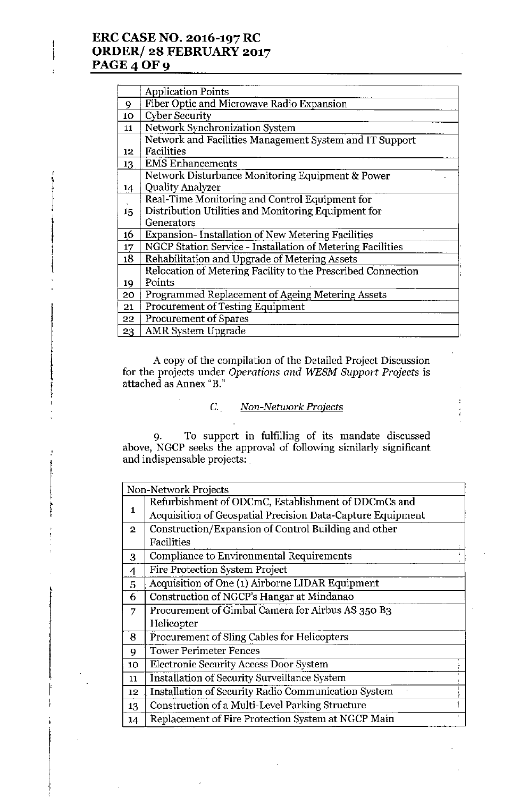# ERC CASE NO. 2016-197 RC ORDER/ 28 FEBRUARY 2017 **PAGE 4 OF 9**

I i

,

!

I

 $\mathbf{r}$ 

i

f<br>1

|    | <b>Application Points</b>                                    |  |
|----|--------------------------------------------------------------|--|
| 9  | Fiber Optic and Microwave Radio Expansion                    |  |
| 10 | <b>Cyber Security</b>                                        |  |
| 11 | Network Synchronization System                               |  |
|    | Network and Facilities Management System and IT Support      |  |
| 12 | Facilities                                                   |  |
| 13 | <b>EMS</b> Enhancements                                      |  |
|    | Network Disturbance Monitoring Equipment & Power             |  |
| 14 | <b>Quality Analyzer</b>                                      |  |
|    | Real-Time Monitoring and Control Equipment for               |  |
| 15 | Distribution Utilities and Monitoring Equipment for          |  |
|    | Generators                                                   |  |
| 16 | <b>Expansion-Installation of New Metering Facilities</b>     |  |
| 17 | NGCP Station Service - Installation of Metering Facilities   |  |
| 18 | Rehabilitation and Upgrade of Metering Assets                |  |
|    | Relocation of Metering Facility to the Prescribed Connection |  |
| 19 | Points                                                       |  |
| 20 | Programmed Replacement of Ageing Metering Assets             |  |
| 21 | <b>Procurement of Testing Equipment</b>                      |  |
| 22 | <b>Procurement of Spares</b>                                 |  |
| 23 | <b>AMR</b> System Upgrade                                    |  |

A copy of the compilation of the Detailed Project Discussion for the projects under *Operations and WESM Support Projects* is attached as Annex "B."

## C. *Non-Network Projects*

9. To support in fulfilling of its mandate discusse above, NGCP seeks the approval of following similarly significan and indispensable projects:  $\lrcorner$ 

| Non-Network Projects |                                                            |  |
|----------------------|------------------------------------------------------------|--|
|                      | Refurbishment of ODCmC, Establishment of DDCmCs and        |  |
| 1                    | Acquisition of Geospatial Precision Data-Capture Equipment |  |
| $\overline{2}$       | Construction/Expansion of Control Building and other       |  |
|                      | Facilities                                                 |  |
| 3                    | Compliance to Environmental Requirements                   |  |
| 4                    | Fire Protection System Project                             |  |
| 5                    | Acquisition of One (1) Airborne LIDAR Equipment            |  |
| 6                    | Construction of NGCP's Hangar at Mindanao                  |  |
| 7                    | Procurement of Gimbal Camera for Airbus AS 350 B3          |  |
|                      | Helicopter                                                 |  |
| 8                    | Procurement of Sling Cables for Helicopters                |  |
| 9                    | <b>Tower Perimeter Fences</b>                              |  |
| 10                   | <b>Electronic Security Access Door System</b>              |  |
| 11                   | <b>Installation of Security Surveillance System</b>        |  |
| 12                   | Installation of Security Radio Communication System        |  |
| 13                   | Construction of a Multi-Level Parking Structure            |  |
| 14                   | Replacement of Fire Protection System at NGCP Main         |  |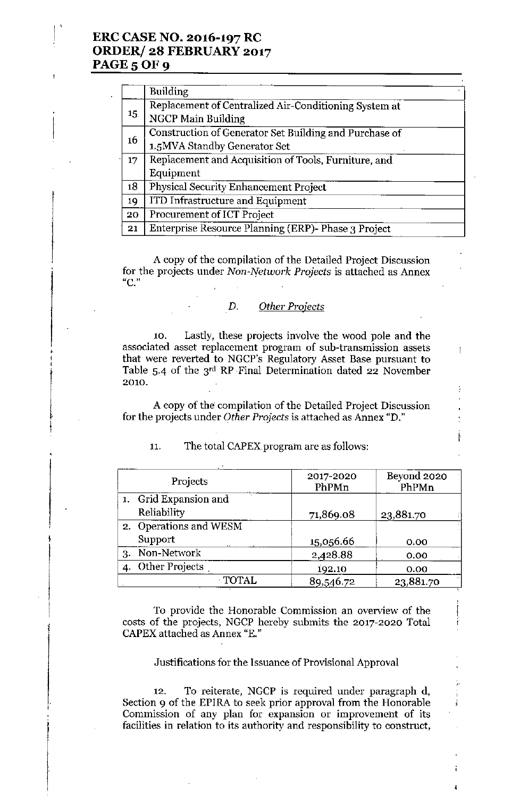## ERC CASE NO. 2016-197 RC ORDER/ 28 FEBRUARY 2017 PAGE 5 OF 9

|    | <b>Building</b>                                        |  |
|----|--------------------------------------------------------|--|
| 15 | Replacement of Centralized Air-Conditioning System at  |  |
|    | NGCP Main Building                                     |  |
|    | Construction of Generator Set Building and Purchase of |  |
| 16 | 1.5MVA Standby Generator Set                           |  |
| 17 | Replacement and Acquisition of Tools, Furniture, and   |  |
|    | Equipment                                              |  |
| 18 | Physical Security Enhancement Project                  |  |
| 19 | ITD Infrastructure and Equipment                       |  |
| 20 | Procurement of ICT Project                             |  |
| 21 | Enterprise Resource Planning (ERP)- Phase 3 Project    |  |

A copy of the compilation of the Detailed Project Discussion for the projects under *Non-Network Projects* is attached as Annex "C."

### D. *Other* Projects

10. Lastly, these projects involve the wood pole and the associated asset replacement program of sub-transmission assets that were reverted to NGCP's Regulatory Asset Base pursuant to Table 5.4 of the  $3<sup>rd</sup>$  RP Final Determination dated 22 November 2010.

 $\mathbf{r}$ 

A copy of the compilation of the Detailed Project Discussion for the projects under *Other Projects* is attached as Annex "D."

| Projects               | 2017-2020<br>PhPMn | Beyond 2020<br>PhPMn |
|------------------------|--------------------|----------------------|
| 1. Grid Expansion and  |                    |                      |
| Reliability            | 71,869.08          | 23,881.70            |
| 2. Operations and WESM |                    |                      |
| Support                | 15,056.66          | 0.00                 |
| 3. Non-Network         | 2,428.88           | 0.00                 |
| 4. Other Projects      | 192.10             | 0.00                 |
| <b>TOTAL</b>           | 89,546.72          | 23,881.70            |

#### 11. The total CAPEX program are as follows:

\

i

To provide the Honorable Commission an overview of the costs of the projects, NGCP hereby submits the 2017-2020 Total CAPEX attached as Annex "E."

Justifications for the Issuance of Provisional Approval

12. To reiterate, NGCP is required under paragraph d, Section 9 of the EPIRA to seek prior approval from the Honorable Commission of any plan for expansion or improvement of its facilities in relation to its authority and responsibility to construct,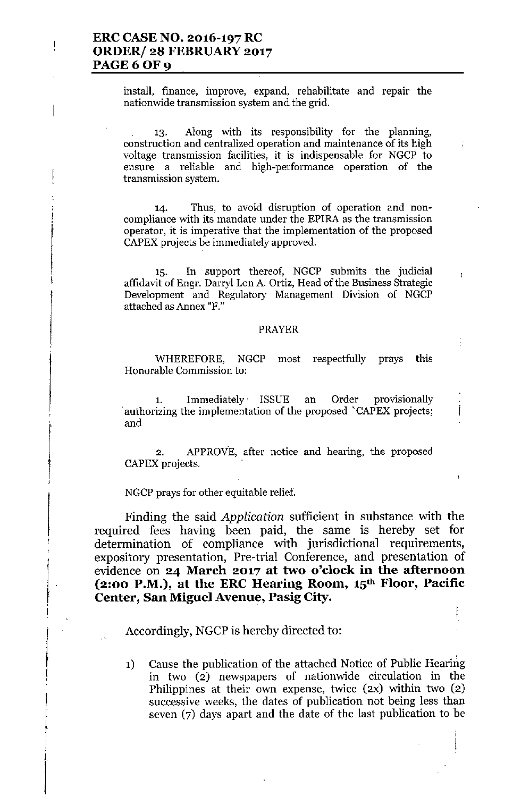$i$  **install, finance, improve, expand, rehabilitate** and **repair** the **nationwide transmission system and the grid.**

'3. Along with its responsibility for the planning, **construction and centralized operation and maintenance of its high voltage transmission facilities, it is indispensable for NGCP to ensure a reliable and high-performance operation of the transmission system.**

**14. Thus, to avoid disruption of operation and noncompliance with its mandate under the EPlRA as the transmission operator, it is imperative that the implementation of the proposed** CAPEX projects be immediately approved.

'5. In support thereof, NGCP submits the judicial affidavit of Engr. Darryl Lon A. Ortiz, Head of the Business Strategic **Development and Regulatory Management Division of NGCP attached as Annex "F."**

f.

#### PRAYER

WHEREFORE, NGCP most respectfully prays this **Honorable Commission to:**

1. Immediately' ISSUE an Order provisionally **.authorizing the implementation of the proposed 'CAPEX projects;** and

2. APPROVE, after notice and hearing, the proposed CAPEX projects.

NGCP prays for other equitable relief.

Finding the said *Application* sufficient in substance with the required fees having been paid, the same is hereby set for determination of compliance with jurisdictional requirements, expository presentation, Pre-trial Conference, and presentation of evidence on **24 March 2017 at two o'clock in the afternoon (2:00 P.M.), at the ERC Hearing Room, 15th Floor, Pacific Center, San Miguel Avenue, Pasig City.**

Accordingly, NGCP is hereby directed to:

I

1) Cause the publication of the attached Notice of Public Hearing in two (2) newspapers of nationwide circulation in the Philippines at their own expense, twice (2X) within two (2) successive weeks, the dates of publication not being less than seven (7) days apart and the date of the last publication to be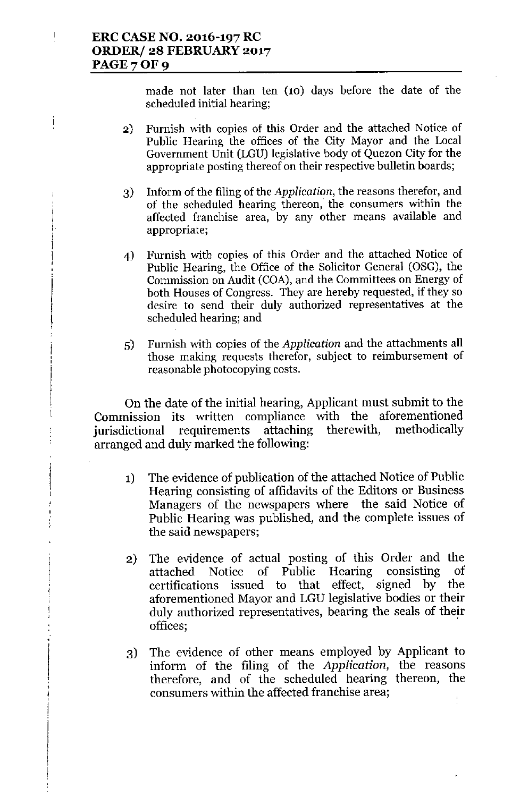$\mathbf{I}$ 

ţ

made not later than ten (10) days before the date of the scheduled initial hearing;

- 2) Furnish with copies of this Order and the attached Notice of Public Hearing the offices of the City Mayor and the Local Government Unit (LGU) legislative body of Quezon City for the appropriate posting thereof on their respective bulletin boards;
- 3) Inform of the filing of the *Application*, the reasons therefor, and of the scheduled hearing thereon, the consumers within the affected franchise area, by any other means available and appropriate;
- 4) Furnish with copies of this Order and the attached Notice of Public Hearing, the Office of the Solicitor General (OSG), the Commission on Audit (COA), and the Committees on Energy of both Houses of Congress. They are hereby requested, if they so desire to send their duly authorized representatives at the scheduled hearing; and
- 5) Furnish with copies of the *Application* and the attachments all those making requests therefor, subject to reimbursement of reasonable photocopying costs.

On the date of the initial hearing, Applicant must submit to the Commission its written compliance with the aforementioned jurisdictional requirements attaching therewith, methodically arranged and duly marked the following:

- 1) The evidence of publication of the attached Notice of Public Hearing consisting of affidavits of the Editors or Business Managers of the newspapers where the said Notice of Public Hearing was published, and the complete issues of the said newspapers;
- 2) The evidence of actual posting of this Order and the attached Notice of Public Hearing consisting of certifications issued to that effect, signed by the aforementioned Mayor and LGU legislative bodies or their duly authorized representatives, bearing the seals of their offices; ,
- 3) The evidence of other means employed by Applicant to inform of the filing of the *Application,* the reasons therefore, and of the scheduled hearing thereon, the consumers within the affected franchise area;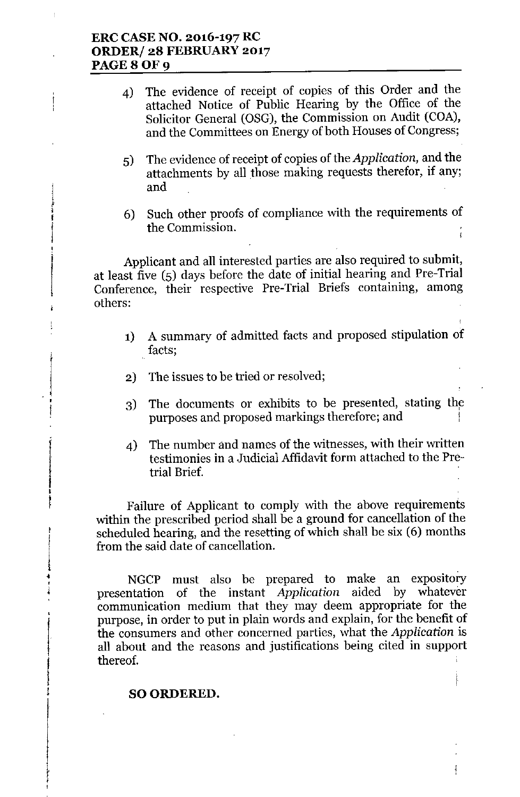# **ERC CASE NO. 2016-197 RC ORDER/ 28 FEBRUARY 2017 PAGE80F9**

is and the company of the company of the company of the company of the company of the company of the company o<br>In the company of the company of the company of the company of the company of the company of the company of th • i<br>F |<br>|}<br>| I

 $,$ 

r ••  $\frac{1}{4}$ 

•

ina ang pagkalang ng pagkalang ng pagkalang ng pagkalang ng pagkalang ng pagkalang ng pagkalang ng pagkalang n<br>Tagapang pagkalang ng pagkalang ng pagkalang ng pagkalang ng pagkalang ng pagkalang ng pagkalang ng pagkalang

I I ;<br>! ,

- 4) The evidence of receipt of copies of this Order and the attached Notice of Public Hearing by the Office of the Solicitor General (OSG), the Commission on Audit (COA), and the Committees on Energy of both Houses of Congress;
- 5) The evidence of receipt of copies of the *Application,* and the attachments by all those making requests therefor, if any; and
- 6) Such other proofs of compliance with the requirements of the Commission.

Applicant and all interested parties are also required to submit, at least five (5) days before the date of initial hearing and Pre-Trial Conference, their respective Pre-Trial Briefs containing, among others:

- **1)** A summary of admitted facts and proposed stipulation ot facts;
- 2) The issues to be tried or resolved;
- 3) The documents or exhibits to be presented, stating purposes and proposed markings therefore; and
- 4) The number and names of the witnesses, with their written testimonies in a Judicial Affidavit form attached to the Pretrial Brief.

Failure of Applicant to comply with the above requirements within the prescribed period shall be a ground for cancellation of the scheduled hearing, and the resetting of which shall be six (6) months from the said date of cancellation.

NGCP must also be prepared to make an expository presentation of the instant *Application* aided by whatever communication medium that they may deem appropriate for the purpose, in order to put in plain words and explain, for the benefit of the consumers and other concerned parties, what the *Application* is all about and the reasons and justifications being cited in support thereof.

## SO ORDERED.